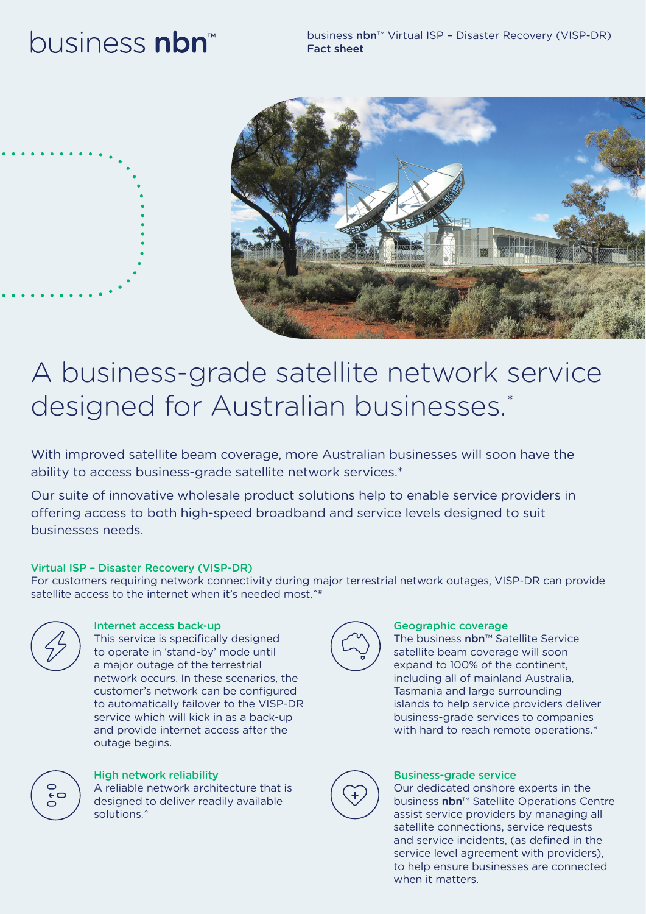# business nbn





## A business-grade satellite network service designed for Australian businesses.\*

With improved satellite beam coverage, more Australian businesses will soon have the ability to access business-grade satellite network services.\*

Our suite of innovative wholesale product solutions help to enable service providers in offering access to both high-speed broadband and service levels designed to suit businesses needs.

### Virtual ISP – Disaster Recovery (VISP-DR)

For customers requiring network connectivity during major terrestrial network outages, VISP-DR can provide satellite access to the internet when it's needed most.<sup>^#</sup>



### Internet access back-up

This service is specifically designed to operate in 'stand-by' mode until a major outage of the terrestrial network occurs. In these scenarios, the customer's network can be configured to automatically failover to the VISP-DR service which will kick in as a back-up and provide internet access after the outage begins.



### High network reliability

A reliable network architecture that is designed to deliver readily available solutions.<sup>^</sup>



### Geographic coverage

The business nbn™ Satellite Service satellite beam coverage will soon expand to 100% of the continent, including all of mainland Australia, Tasmania and large surrounding islands to help service providers deliver business-grade services to companies with hard to reach remote operations.\*



### Business-grade service

Our dedicated onshore experts in the business nbn™ Satellite Operations Centre assist service providers by managing all satellite connections, service requests and service incidents, (as defined in the service level agreement with providers), to help ensure businesses are connected when it matters.